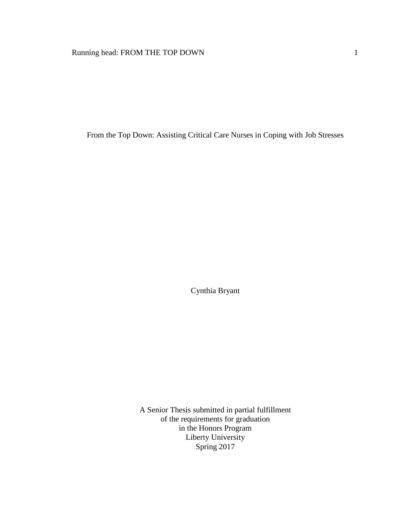From the Top Down: Assisting Critical Care Nurses in Coping with Job Stresses

Cynthia Bryant

A Senior Thesis submitted in partial fulfillment of the requirements for graduation in the Honors Program Liberty University Spring 2017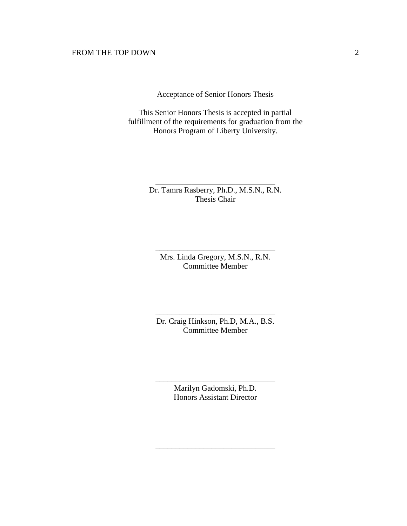Acceptance of Senior Honors Thesis

This Senior Honors Thesis is accepted in partial fulfillment of the requirements for graduation from the Honors Program of Liberty University.

> Dr. Tamra Rasberry, Ph.D., M.S.N., R.N. Thesis Chair

\_\_\_\_\_\_\_\_\_\_\_\_\_\_\_\_\_\_\_\_\_\_\_\_\_\_\_\_\_\_

Mrs. Linda Gregory, M.S.N., R.N. Committee Member

\_\_\_\_\_\_\_\_\_\_\_\_\_\_\_\_\_\_\_\_\_\_\_\_\_\_\_\_\_\_

Dr. Craig Hinkson, Ph.D, M.A., B.S. Committee Member

\_\_\_\_\_\_\_\_\_\_\_\_\_\_\_\_\_\_\_\_\_\_\_\_\_\_\_\_\_\_

Marilyn Gadomski, Ph.D. Honors Assistant Director

\_\_\_\_\_\_\_\_\_\_\_\_\_\_\_\_\_\_\_\_\_\_\_\_\_\_\_\_\_\_

\_\_\_\_\_\_\_\_\_\_\_\_\_\_\_\_\_\_\_\_\_\_\_\_\_\_\_\_\_\_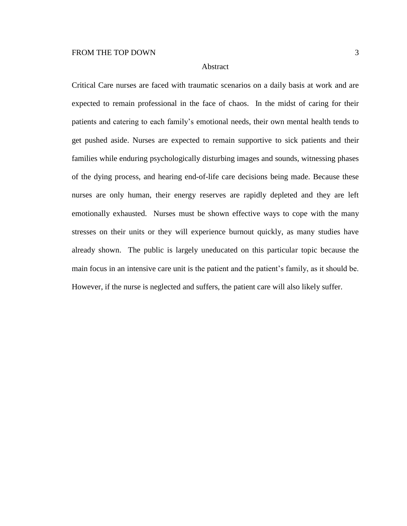# Abstract

Critical Care nurses are faced with traumatic scenarios on a daily basis at work and are expected to remain professional in the face of chaos. In the midst of caring for their patients and catering to each family's emotional needs, their own mental health tends to get pushed aside. Nurses are expected to remain supportive to sick patients and their families while enduring psychologically disturbing images and sounds, witnessing phases of the dying process, and hearing end-of-life care decisions being made. Because these nurses are only human, their energy reserves are rapidly depleted and they are left emotionally exhausted. Nurses must be shown effective ways to cope with the many stresses on their units or they will experience burnout quickly, as many studies have already shown. The public is largely uneducated on this particular topic because the main focus in an intensive care unit is the patient and the patient's family, as it should be. However, if the nurse is neglected and suffers, the patient care will also likely suffer.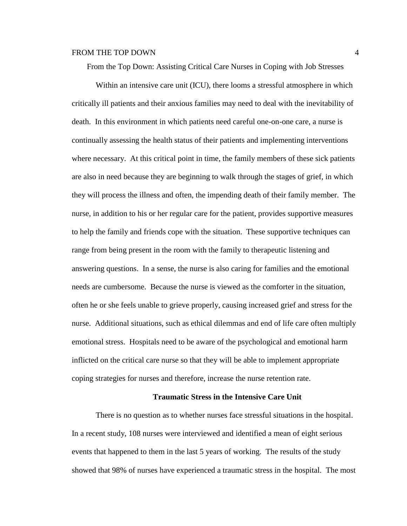From the Top Down: Assisting Critical Care Nurses in Coping with Job Stresses

Within an intensive care unit (ICU), there looms a stressful atmosphere in which critically ill patients and their anxious families may need to deal with the inevitability of death. In this environment in which patients need careful one-on-one care, a nurse is continually assessing the health status of their patients and implementing interventions where necessary. At this critical point in time, the family members of these sick patients are also in need because they are beginning to walk through the stages of grief, in which they will process the illness and often, the impending death of their family member. The nurse, in addition to his or her regular care for the patient, provides supportive measures to help the family and friends cope with the situation. These supportive techniques can range from being present in the room with the family to therapeutic listening and answering questions. In a sense, the nurse is also caring for families and the emotional needs are cumbersome. Because the nurse is viewed as the comforter in the situation, often he or she feels unable to grieve properly, causing increased grief and stress for the nurse. Additional situations, such as ethical dilemmas and end of life care often multiply emotional stress. Hospitals need to be aware of the psychological and emotional harm inflicted on the critical care nurse so that they will be able to implement appropriate coping strategies for nurses and therefore, increase the nurse retention rate.

#### **Traumatic Stress in the Intensive Care Unit**

There is no question as to whether nurses face stressful situations in the hospital. In a recent study, 108 nurses were interviewed and identified a mean of eight serious events that happened to them in the last 5 years of working. The results of the study showed that 98% of nurses have experienced a traumatic stress in the hospital. The most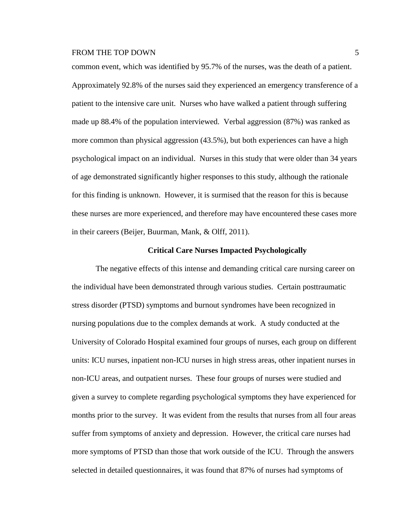common event, which was identified by 95.7% of the nurses, was the death of a patient. Approximately 92.8% of the nurses said they experienced an emergency transference of a patient to the intensive care unit. Nurses who have walked a patient through suffering made up 88.4% of the population interviewed. Verbal aggression (87%) was ranked as more common than physical aggression (43.5%), but both experiences can have a high psychological impact on an individual. Nurses in this study that were older than 34 years of age demonstrated significantly higher responses to this study, although the rationale for this finding is unknown. However, it is surmised that the reason for this is because these nurses are more experienced, and therefore may have encountered these cases more in their careers (Beijer, [Buurman,](http://journals.sagepub.com.ezproxy.liberty.edu/author/Buurman%2C+Bianca+M) [Mank,](http://journals.sagepub.com.ezproxy.liberty.edu/author/Mank%2C+Arno+P+M) & [Olff,](http://journals.sagepub.com.ezproxy.liberty.edu/author/Olff%2C+Miranda) 2011).

#### **Critical Care Nurses Impacted Psychologically**

The negative effects of this intense and demanding critical care nursing career on the individual have been demonstrated through various studies. Certain posttraumatic stress disorder (PTSD) symptoms and burnout syndromes have been recognized in nursing populations due to the complex demands at work. A study conducted at the University of Colorado Hospital examined four groups of nurses, each group on different units: ICU nurses, inpatient non-ICU nurses in high stress areas, other inpatient nurses in non-ICU areas, and outpatient nurses. These four groups of nurses were studied and given a survey to complete regarding psychological symptoms they have experienced for months prior to the survey. It was evident from the results that nurses from all four areas suffer from symptoms of anxiety and depression. However, the critical care nurses had more symptoms of PTSD than those that work outside of the ICU. Through the answers selected in detailed questionnaires, it was found that 87% of nurses had symptoms of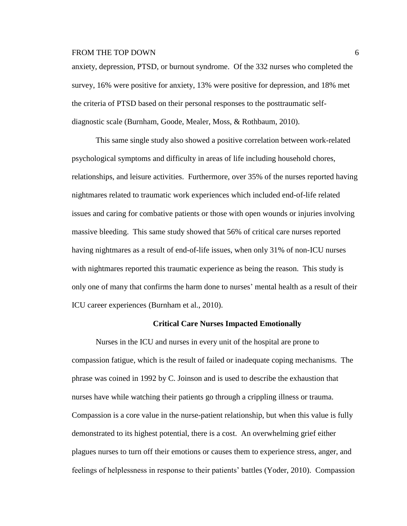anxiety, depression, PTSD, or burnout syndrome. Of the 332 nurses who completed the survey, 16% were positive for anxiety, 13% were positive for depression, and 18% met the criteria of PTSD based on their personal responses to the posttraumatic selfdiagnostic scale (Burnham, Goode, Mealer, Moss, & Rothbaum, 2010).

This same single study also showed a positive correlation between work-related psychological symptoms and difficulty in areas of life including household chores, relationships, and leisure activities. Furthermore, over 35% of the nurses reported having nightmares related to traumatic work experiences which included end-of-life related issues and caring for combative patients or those with open wounds or injuries involving massive bleeding. This same study showed that 56% of critical care nurses reported having nightmares as a result of end-of-life issues, when only 31% of non-ICU nurses with nightmares reported this traumatic experience as being the reason. This study is only one of many that confirms the harm done to nurses' mental health as a result of their ICU career experiences (Burnham et al., 2010).

#### **Critical Care Nurses Impacted Emotionally**

Nurses in the ICU and nurses in every unit of the hospital are prone to compassion fatigue, which is the result of failed or inadequate coping mechanisms. The phrase was coined in 1992 by C. Joinson and is used to describe the exhaustion that nurses have while watching their patients go through a crippling illness or trauma. Compassion is a core value in the nurse-patient relationship, but when this value is fully demonstrated to its highest potential, there is a cost. An overwhelming grief either plagues nurses to turn off their emotions or causes them to experience stress, anger, and feelings of helplessness in response to their patients' battles (Yoder, 2010). Compassion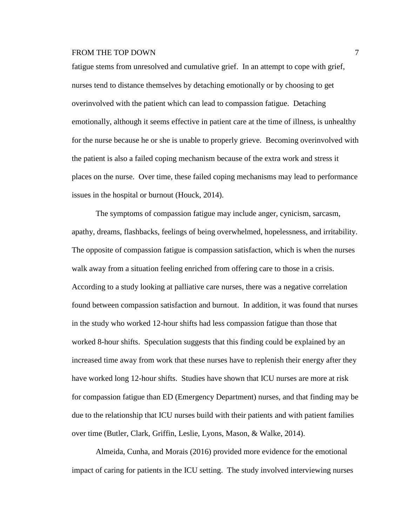fatigue stems from unresolved and cumulative grief. In an attempt to cope with grief, nurses tend to distance themselves by detaching emotionally or by choosing to get overinvolved with the patient which can lead to compassion fatigue. Detaching emotionally, although it seems effective in patient care at the time of illness, is unhealthy for the nurse because he or she is unable to properly grieve. Becoming overinvolved with the patient is also a failed coping mechanism because of the extra work and stress it places on the nurse. Over time, these failed coping mechanisms may lead to performance issues in the hospital or burnout (Houck, 2014).

The symptoms of compassion fatigue may include anger, cynicism, sarcasm, apathy, dreams, flashbacks, feelings of being overwhelmed, hopelessness, and irritability. The opposite of compassion fatigue is compassion satisfaction, which is when the nurses walk away from a situation feeling enriched from offering care to those in a crisis. According to a study looking at palliative care nurses, there was a negative correlation found between compassion satisfaction and burnout. In addition, it was found that nurses in the study who worked 12-hour shifts had less compassion fatigue than those that worked 8-hour shifts. Speculation suggests that this finding could be explained by an increased time away from work that these nurses have to replenish their energy after they have worked long 12-hour shifts. Studies have shown that ICU nurses are more at risk for compassion fatigue than ED (Emergency Department) nurses, and that finding may be due to the relationship that ICU nurses build with their patients and with patient families over time (Butler, Clark, Griffin, Leslie, Lyons, Mason, & Walke, 2014).

Almeida, Cunha, and Morais (2016) provided more evidence for the emotional impact of caring for patients in the ICU setting. The study involved interviewing nurses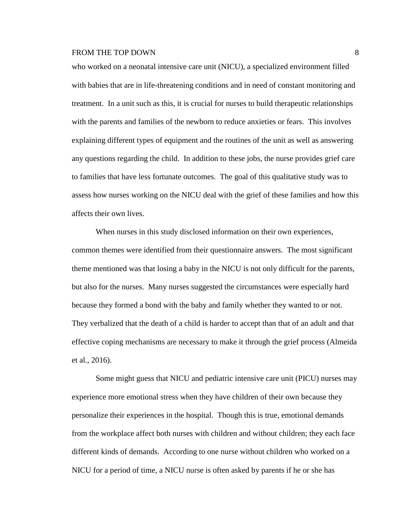who worked on a neonatal intensive care unit (NICU), a specialized environment filled with babies that are in life-threatening conditions and in need of constant monitoring and treatment. In a unit such as this, it is crucial for nurses to build therapeutic relationships with the parents and families of the newborn to reduce anxieties or fears. This involves explaining different types of equipment and the routines of the unit as well as answering any questions regarding the child. In addition to these jobs, the nurse provides grief care to families that have less fortunate outcomes. The goal of this qualitative study was to assess how nurses working on the NICU deal with the grief of these families and how this affects their own lives.

When nurses in this study disclosed information on their own experiences, common themes were identified from their questionnaire answers. The most significant theme mentioned was that losing a baby in the NICU is not only difficult for the parents, but also for the nurses. Many nurses suggested the circumstances were especially hard because they formed a bond with the baby and family whether they wanted to or not. They verbalized that the death of a child is harder to accept than that of an adult and that effective coping mechanisms are necessary to make it through the grief process (Almeida et al., 2016).

Some might guess that NICU and pediatric intensive care unit (PICU) nurses may experience more emotional stress when they have children of their own because they personalize their experiences in the hospital. Though this is true, emotional demands from the workplace affect both nurses with children and without children; they each face different kinds of demands. According to one nurse without children who worked on a NICU for a period of time, a NICU nurse is often asked by parents if he or she has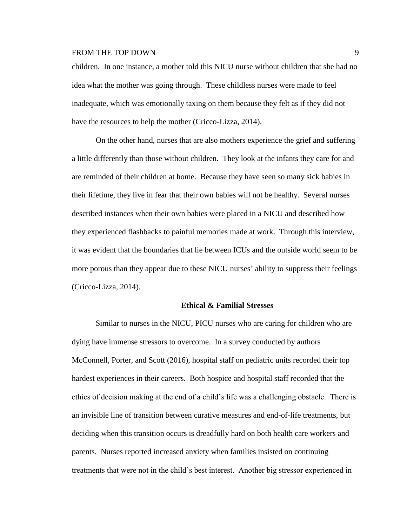children. In one instance, a mother told this NICU nurse without children that she had no idea what the mother was going through. These childless nurses were made to feel inadequate, which was emotionally taxing on them because they felt as if they did not have the resources to help the mother [\(Cricco-Lizza,](http://journals.sagepub.com.ezproxy.liberty.edu/author/Cricco-Lizza%2C+Roberta) 2014).

On the other hand, nurses that are also mothers experience the grief and suffering a little differently than those without children. They look at the infants they care for and are reminded of their children at home. Because they have seen so many sick babies in their lifetime, they live in fear that their own babies will not be healthy. Several nurses described instances when their own babies were placed in a NICU and described how they experienced flashbacks to painful memories made at work. Through this interview, it was evident that the boundaries that lie between ICUs and the outside world seem to be more porous than they appear due to these NICU nurses' ability to suppress their feelings [\(Cricco-Lizza,](http://journals.sagepub.com.ezproxy.liberty.edu/author/Cricco-Lizza%2C+Roberta) 2014).

#### **Ethical & Familial Stresses**

Similar to nurses in the NICU, PICU nurses who are caring for children who are dying have immense stressors to overcome. In a survey conducted by authors McConnell, Porter, and Scott (2016), hospital staff on pediatric units recorded their top hardest experiences in their careers. Both hospice and hospital staff recorded that the ethics of decision making at the end of a child's life was a challenging obstacle. There is an invisible line of transition between curative measures and end-of-life treatments, but deciding when this transition occurs is dreadfully hard on both health care workers and parents. Nurses reported increased anxiety when families insisted on continuing treatments that were not in the child's best interest. Another big stressor experienced in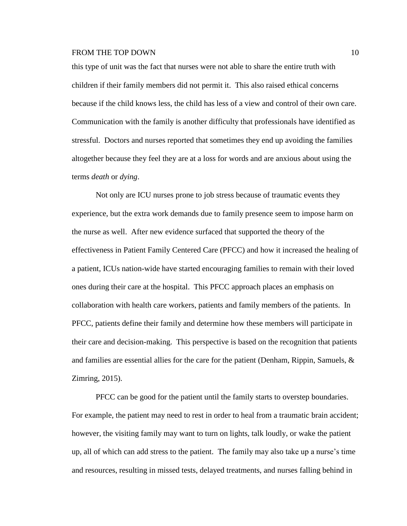this type of unit was the fact that nurses were not able to share the entire truth with children if their family members did not permit it. This also raised ethical concerns because if the child knows less, the child has less of a view and control of their own care. Communication with the family is another difficulty that professionals have identified as stressful. Doctors and nurses reported that sometimes they end up avoiding the families altogether because they feel they are at a loss for words and are anxious about using the terms *death* or *dying*.

Not only are ICU nurses prone to job stress because of traumatic events they experience, but the extra work demands due to family presence seem to impose harm on the nurse as well. After new evidence surfaced that supported the theory of the effectiveness in Patient Family Centered Care (PFCC) and how it increased the healing of a patient, ICUs nation-wide have started encouraging families to remain with their loved ones during their care at the hospital. This PFCC approach places an emphasis on collaboration with health care workers, patients and family members of the patients. In PFCC, patients define their family and determine how these members will participate in their care and decision-making. This perspective is based on the recognition that patients and families are essential allies for the care for the patient (Denham, Rippin, Samuels, & Zimring, 2015).

PFCC can be good for the patient until the family starts to overstep boundaries. For example, the patient may need to rest in order to heal from a traumatic brain accident; however, the visiting family may want to turn on lights, talk loudly, or wake the patient up, all of which can add stress to the patient. The family may also take up a nurse's time and resources, resulting in missed tests, delayed treatments, and nurses falling behind in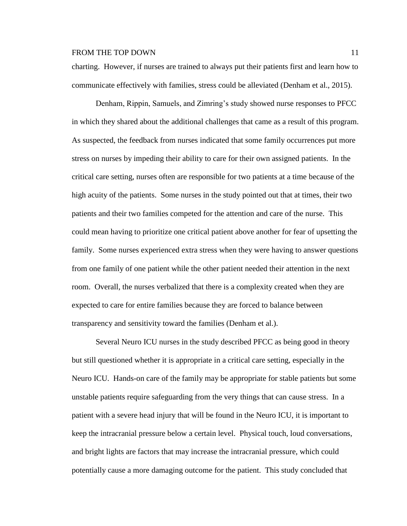charting. However, if nurses are trained to always put their patients first and learn how to communicate effectively with families, stress could be alleviated (Denham et al., 2015).

Denham, Rippin, Samuels, and Zimring's study showed nurse responses to PFCC in which they shared about the additional challenges that came as a result of this program. As suspected, the feedback from nurses indicated that some family occurrences put more stress on nurses by impeding their ability to care for their own assigned patients. In the critical care setting, nurses often are responsible for two patients at a time because of the high acuity of the patients. Some nurses in the study pointed out that at times, their two patients and their two families competed for the attention and care of the nurse. This could mean having to prioritize one critical patient above another for fear of upsetting the family. Some nurses experienced extra stress when they were having to answer questions from one family of one patient while the other patient needed their attention in the next room. Overall, the nurses verbalized that there is a complexity created when they are expected to care for entire families because they are forced to balance between transparency and sensitivity toward the families (Denham et al.).

Several Neuro ICU nurses in the study described PFCC as being good in theory but still questioned whether it is appropriate in a critical care setting, especially in the Neuro ICU. Hands-on care of the family may be appropriate for stable patients but some unstable patients require safeguarding from the very things that can cause stress. In a patient with a severe head injury that will be found in the Neuro ICU, it is important to keep the intracranial pressure below a certain level. Physical touch, loud conversations, and bright lights are factors that may increase the intracranial pressure, which could potentially cause a more damaging outcome for the patient. This study concluded that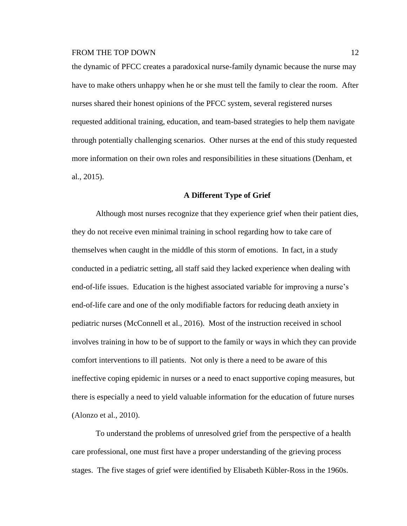the dynamic of PFCC creates a paradoxical nurse-family dynamic because the nurse may have to make others unhappy when he or she must tell the family to clear the room. After nurses shared their honest opinions of the PFCC system, several registered nurses requested additional training, education, and team-based strategies to help them navigate through potentially challenging scenarios. Other nurses at the end of this study requested more information on their own roles and responsibilities in these situations (Denham, et al., 2015).

# **A Different Type of Grief**

Although most nurses recognize that they experience grief when their patient dies, they do not receive even minimal training in school regarding how to take care of themselves when caught in the middle of this storm of emotions. In fact, in a study conducted in a pediatric setting, all staff said they lacked experience when dealing with end-of-life issues. Education is the highest associated variable for improving a nurse's end-of-life care and one of the only modifiable factors for reducing death anxiety in pediatric nurses (McConnell et al., 2016). Most of the instruction received in school involves training in how to be of support to the family or ways in which they can provide comfort interventions to ill patients. Not only is there a need to be aware of this ineffective coping epidemic in nurses or a need to enact supportive coping measures, but there is especially a need to yield valuable information for the education of future nurses (Alonzo et al., 2010).

To understand the problems of unresolved grief from the perspective of a health care professional, one must first have a proper understanding of the grieving process stages. The five stages of grief were identified by Elisabeth Kübler-Ross in the 1960s.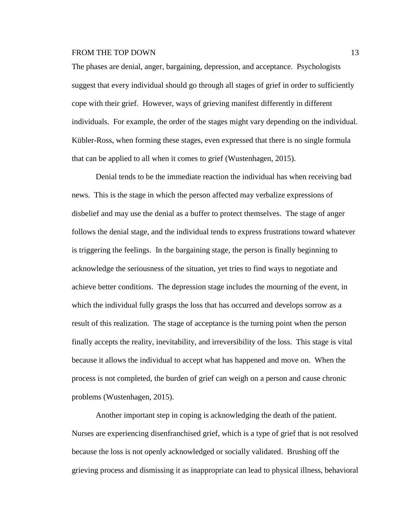The phases are denial, anger, bargaining, depression, and acceptance. Psychologists suggest that every individual should go through all stages of grief in order to sufficiently cope with their grief. However, ways of grieving manifest differently in different individuals. For example, the order of the stages might vary depending on the individual. Kübler-Ross, when forming these stages, even expressed that there is no single formula that can be applied to all when it comes to grief (Wustenhagen, 2015).

Denial tends to be the immediate reaction the individual has when receiving bad news. This is the stage in which the person affected may verbalize expressions of disbelief and may use the denial as a buffer to protect themselves. The stage of anger follows the denial stage, and the individual tends to express frustrations toward whatever is triggering the feelings. In the bargaining stage, the person is finally beginning to acknowledge the seriousness of the situation, yet tries to find ways to negotiate and achieve better conditions. The depression stage includes the mourning of the event, in which the individual fully grasps the loss that has occurred and develops sorrow as a result of this realization. The stage of acceptance is the turning point when the person finally accepts the reality, inevitability, and irreversibility of the loss. This stage is vital because it allows the individual to accept what has happened and move on. When the process is not completed, the burden of grief can weigh on a person and cause chronic problems (Wustenhagen, 2015).

Another important step in coping is acknowledging the death of the patient. Nurses are experiencing disenfranchised grief, which is a type of grief that is not resolved because the loss is not openly acknowledged or socially validated. Brushing off the grieving process and dismissing it as inappropriate can lead to physical illness, behavioral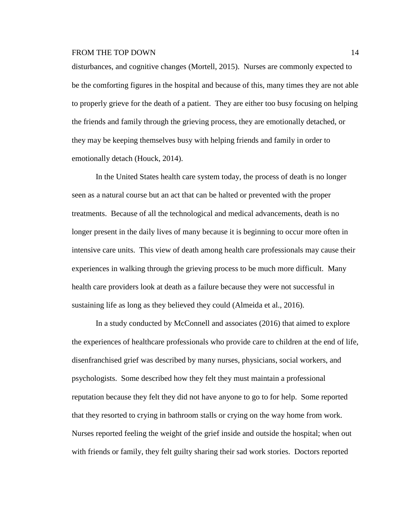disturbances, and cognitive changes (Mortell, 2015). Nurses are commonly expected to be the comforting figures in the hospital and because of this, many times they are not able to properly grieve for the death of a patient. They are either too busy focusing on helping the friends and family through the grieving process, they are emotionally detached, or they may be keeping themselves busy with helping friends and family in order to emotionally detach (Houck, 2014).

In the United States health care system today, the process of death is no longer seen as a natural course but an act that can be halted or prevented with the proper treatments. Because of all the technological and medical advancements, death is no longer present in the daily lives of many because it is beginning to occur more often in intensive care units. This view of death among health care professionals may cause their experiences in walking through the grieving process to be much more difficult. Many health care providers look at death as a failure because they were not successful in sustaining life as long as they believed they could (Almeida et al., 2016).

In a study conducted by McConnell and associates (2016) that aimed to explore the experiences of healthcare professionals who provide care to children at the end of life, disenfranchised grief was described by many nurses, physicians, social workers, and psychologists. Some described how they felt they must maintain a professional reputation because they felt they did not have anyone to go to for help. Some reported that they resorted to crying in bathroom stalls or crying on the way home from work. Nurses reported feeling the weight of the grief inside and outside the hospital; when out with friends or family, they felt guilty sharing their sad work stories. Doctors reported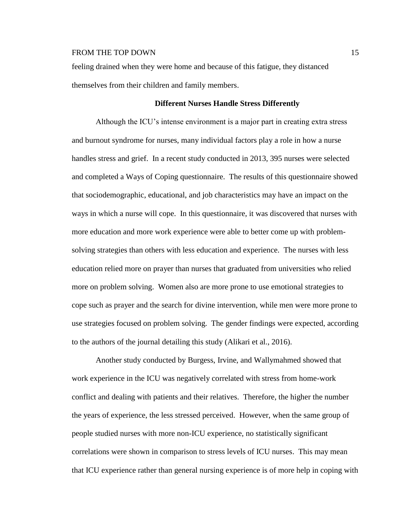feeling drained when they were home and because of this fatigue, they distanced themselves from their children and family members.

# **Different Nurses Handle Stress Differently**

Although the ICU's intense environment is a major part in creating extra stress and burnout syndrome for nurses, many individual factors play a role in how a nurse handles stress and grief. In a recent study conducted in 2013, 395 nurses were selected and completed a Ways of Coping questionnaire. The results of this questionnaire showed that sociodemographic, educational, and job characteristics may have an impact on the ways in which a nurse will cope. In this questionnaire, it was discovered that nurses with more education and more work experience were able to better come up with problemsolving strategies than others with less education and experience. The nurses with less education relied more on prayer than nurses that graduated from universities who relied more on problem solving. Women also are more prone to use emotional strategies to cope such as prayer and the search for divine intervention, while men were more prone to use strategies focused on problem solving. The gender findings were expected, according to the authors of the journal detailing this study (Alikari et al., 2016).

Another study conducted by Burgess, Irvine, and Wallymahmed showed that work experience in the ICU was negatively correlated with stress from home-work conflict and dealing with patients and their relatives. Therefore, the higher the number the years of experience, the less stressed perceived. However, when the same group of people studied nurses with more non-ICU experience, no statistically significant correlations were shown in comparison to stress levels of ICU nurses. This may mean that ICU experience rather than general nursing experience is of more help in coping with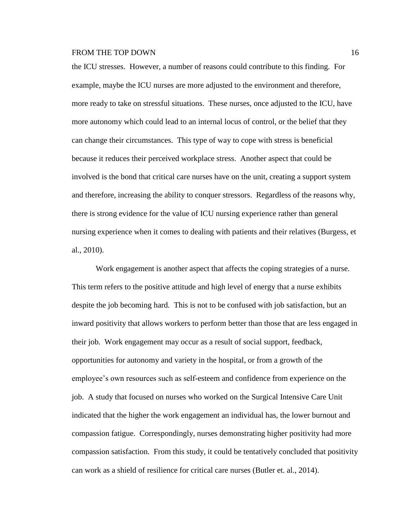the ICU stresses. However, a number of reasons could contribute to this finding. For example, maybe the ICU nurses are more adjusted to the environment and therefore, more ready to take on stressful situations. These nurses, once adjusted to the ICU, have more autonomy which could lead to an internal locus of control, or the belief that they can change their circumstances. This type of way to cope with stress is beneficial because it reduces their perceived workplace stress. Another aspect that could be involved is the bond that critical care nurses have on the unit, creating a support system and therefore, increasing the ability to conquer stressors. Regardless of the reasons why, there is strong evidence for the value of ICU nursing experience rather than general nursing experience when it comes to dealing with patients and their relatives (Burgess, et al., 2010).

Work engagement is another aspect that affects the coping strategies of a nurse. This term refers to the positive attitude and high level of energy that a nurse exhibits despite the job becoming hard. This is not to be confused with job satisfaction, but an inward positivity that allows workers to perform better than those that are less engaged in their job. Work engagement may occur as a result of social support, feedback, opportunities for autonomy and variety in the hospital, or from a growth of the employee's own resources such as self-esteem and confidence from experience on the job. A study that focused on nurses who worked on the Surgical Intensive Care Unit indicated that the higher the work engagement an individual has, the lower burnout and compassion fatigue. Correspondingly, nurses demonstrating higher positivity had more compassion satisfaction. From this study, it could be tentatively concluded that positivity can work as a shield of resilience for critical care nurses (Butler et. al., 2014).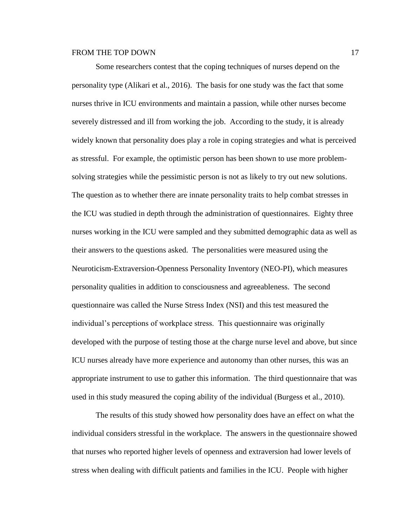Some researchers contest that the coping techniques of nurses depend on the personality type (Alikari et al., 2016). The basis for one study was the fact that some nurses thrive in ICU environments and maintain a passion, while other nurses become severely distressed and ill from working the job. According to the study, it is already widely known that personality does play a role in coping strategies and what is perceived as stressful. For example, the optimistic person has been shown to use more problemsolving strategies while the pessimistic person is not as likely to try out new solutions. The question as to whether there are innate personality traits to help combat stresses in the ICU was studied in depth through the administration of questionnaires. Eighty three nurses working in the ICU were sampled and they submitted demographic data as well as their answers to the questions asked. The personalities were measured using the Neuroticism-Extraversion-Openness Personality Inventory (NEO-PI), which measures personality qualities in addition to consciousness and agreeableness. The second questionnaire was called the Nurse Stress Index (NSI) and this test measured the individual's perceptions of workplace stress. This questionnaire was originally developed with the purpose of testing those at the charge nurse level and above, but since ICU nurses already have more experience and autonomy than other nurses, this was an appropriate instrument to use to gather this information. The third questionnaire that was used in this study measured the coping ability of the individual (Burgess et al., 2010).

The results of this study showed how personality does have an effect on what the individual considers stressful in the workplace. The answers in the questionnaire showed that nurses who reported higher levels of openness and extraversion had lower levels of stress when dealing with difficult patients and families in the ICU. People with higher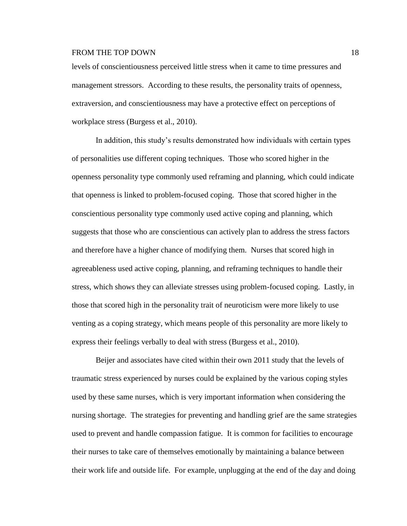levels of conscientiousness perceived little stress when it came to time pressures and management stressors. According to these results, the personality traits of openness, extraversion, and conscientiousness may have a protective effect on perceptions of workplace stress (Burgess et al., 2010).

In addition, this study's results demonstrated how individuals with certain types of personalities use different coping techniques. Those who scored higher in the openness personality type commonly used reframing and planning, which could indicate that openness is linked to problem-focused coping. Those that scored higher in the conscientious personality type commonly used active coping and planning, which suggests that those who are conscientious can actively plan to address the stress factors and therefore have a higher chance of modifying them. Nurses that scored high in agreeableness used active coping, planning, and reframing techniques to handle their stress, which shows they can alleviate stresses using problem-focused coping. Lastly, in those that scored high in the personality trait of neuroticism were more likely to use venting as a coping strategy, which means people of this personality are more likely to express their feelings verbally to deal with stress (Burgess et al., 2010).

Beijer and associates have cited within their own 2011 study that the levels of traumatic stress experienced by nurses could be explained by the various coping styles used by these same nurses, which is very important information when considering the nursing shortage. The strategies for preventing and handling grief are the same strategies used to prevent and handle compassion fatigue. It is common for facilities to encourage their nurses to take care of themselves emotionally by maintaining a balance between their work life and outside life. For example, unplugging at the end of the day and doing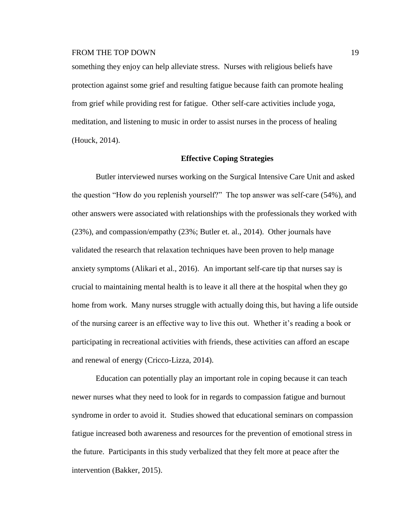something they enjoy can help alleviate stress. Nurses with religious beliefs have protection against some grief and resulting fatigue because faith can promote healing from grief while providing rest for fatigue. Other self-care activities include yoga, meditation, and listening to music in order to assist nurses in the process of healing (Houck, 2014).

#### **Effective Coping Strategies**

Butler interviewed nurses working on the Surgical Intensive Care Unit and asked the question "How do you replenish yourself?" The top answer was self-care (54%), and other answers were associated with relationships with the professionals they worked with (23%), and compassion/empathy (23%; Butler et. al., 2014). Other journals have validated the research that relaxation techniques have been proven to help manage anxiety symptoms (Alikari et al., 2016). An important self-care tip that nurses say is crucial to maintaining mental health is to leave it all there at the hospital when they go home from work. Many nurses struggle with actually doing this, but having a life outside of the nursing career is an effective way to live this out. Whether it's reading a book or participating in recreational activities with friends, these activities can afford an escape and renewal of energy [\(Cricco-Lizza,](http://journals.sagepub.com.ezproxy.liberty.edu/author/Cricco-Lizza%2C+Roberta) 2014).

Education can potentially play an important role in coping because it can teach newer nurses what they need to look for in regards to compassion fatigue and burnout syndrome in order to avoid it. Studies showed that educational seminars on compassion fatigue increased both awareness and resources for the prevention of emotional stress in the future. Participants in this study verbalized that they felt more at peace after the intervention (Bakker, 2015).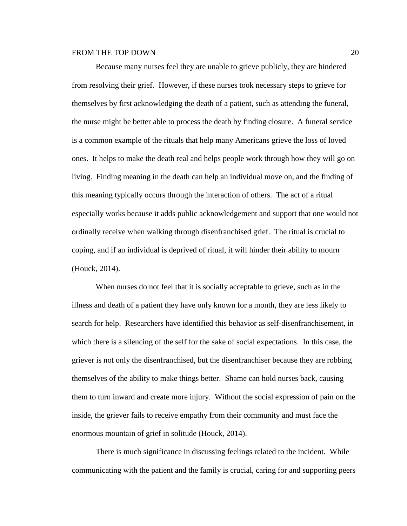Because many nurses feel they are unable to grieve publicly, they are hindered from resolving their grief. However, if these nurses took necessary steps to grieve for themselves by first acknowledging the death of a patient, such as attending the funeral, the nurse might be better able to process the death by finding closure. A funeral service is a common example of the rituals that help many Americans grieve the loss of loved ones. It helps to make the death real and helps people work through how they will go on living. Finding meaning in the death can help an individual move on, and the finding of this meaning typically occurs through the interaction of others. The act of a ritual especially works because it adds public acknowledgement and support that one would not ordinally receive when walking through disenfranchised grief. The ritual is crucial to coping, and if an individual is deprived of ritual, it will hinder their ability to mourn (Houck, 2014).

When nurses do not feel that it is socially acceptable to grieve, such as in the illness and death of a patient they have only known for a month, they are less likely to search for help. Researchers have identified this behavior as self-disenfranchisement, in which there is a silencing of the self for the sake of social expectations. In this case, the griever is not only the disenfranchised, but the disenfranchiser because they are robbing themselves of the ability to make things better. Shame can hold nurses back, causing them to turn inward and create more injury. Without the social expression of pain on the inside, the griever fails to receive empathy from their community and must face the enormous mountain of grief in solitude (Houck, 2014).

There is much significance in discussing feelings related to the incident. While communicating with the patient and the family is crucial, caring for and supporting peers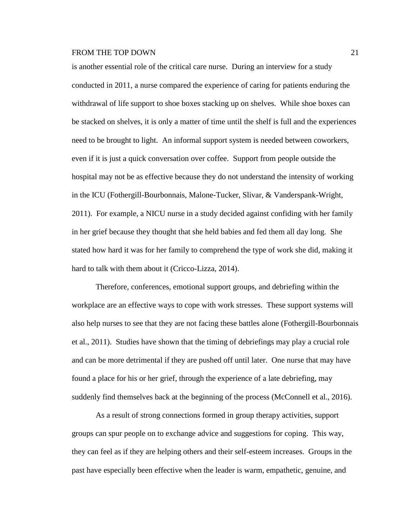is another essential role of the critical care nurse. During an interview for a study conducted in 2011, a nurse compared the experience of caring for patients enduring the withdrawal of life support to shoe boxes stacking up on shelves. While shoe boxes can be stacked on shelves, it is only a matter of time until the shelf is full and the experiences need to be brought to light. An informal support system is needed between coworkers, even if it is just a quick conversation over coffee. Support from people outside the hospital may not be as effective because they do not understand the intensity of working in the ICU (Fothergill-Bourbonnais, Malone-Tucker, Slivar, & Vanderspank-Wright, 2011). For example, a NICU nurse in a study decided against confiding with her family in her grief because they thought that she held babies and fed them all day long. She stated how hard it was for her family to comprehend the type of work she did, making it hard to talk with them about it [\(Cricco-Lizza,](http://journals.sagepub.com.ezproxy.liberty.edu/author/Cricco-Lizza%2C+Roberta) 2014).

Therefore, conferences, emotional support groups, and debriefing within the workplace are an effective ways to cope with work stresses. These support systems will also help nurses to see that they are not facing these battles alone (Fothergill-Bourbonnais et al., 2011). Studies have shown that the timing of debriefings may play a crucial role and can be more detrimental if they are pushed off until later. One nurse that may have found a place for his or her grief, through the experience of a late debriefing, may suddenly find themselves back at the beginning of the process (McConnell et al., 2016).

As a result of strong connections formed in group therapy activities, support groups can spur people on to exchange advice and suggestions for coping. This way, they can feel as if they are helping others and their self-esteem increases. Groups in the past have especially been effective when the leader is warm, empathetic, genuine, and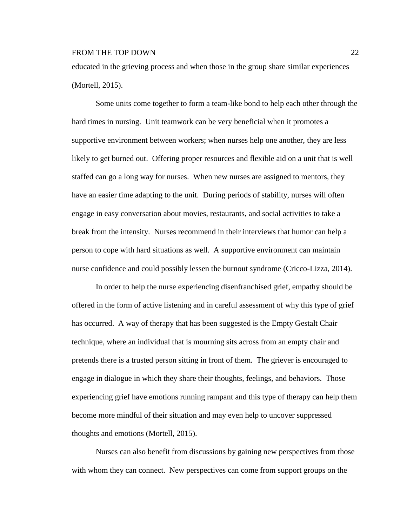educated in the grieving process and when those in the group share similar experiences (Mortell, 2015).

Some units come together to form a team-like bond to help each other through the hard times in nursing. Unit teamwork can be very beneficial when it promotes a supportive environment between workers; when nurses help one another, they are less likely to get burned out. Offering proper resources and flexible aid on a unit that is well staffed can go a long way for nurses. When new nurses are assigned to mentors, they have an easier time adapting to the unit. During periods of stability, nurses will often engage in easy conversation about movies, restaurants, and social activities to take a break from the intensity. Nurses recommend in their interviews that humor can help a person to cope with hard situations as well. A supportive environment can maintain nurse confidence and could possibly lessen the burnout syndrome [\(Cricco-Lizza,](http://journals.sagepub.com.ezproxy.liberty.edu/author/Cricco-Lizza%2C+Roberta) 2014).

In order to help the nurse experiencing disenfranchised grief, empathy should be offered in the form of active listening and in careful assessment of why this type of grief has occurred. A way of therapy that has been suggested is the Empty Gestalt Chair technique, where an individual that is mourning sits across from an empty chair and pretends there is a trusted person sitting in front of them. The griever is encouraged to engage in dialogue in which they share their thoughts, feelings, and behaviors. Those experiencing grief have emotions running rampant and this type of therapy can help them become more mindful of their situation and may even help to uncover suppressed thoughts and emotions (Mortell, 2015).

Nurses can also benefit from discussions by gaining new perspectives from those with whom they can connect. New perspectives can come from support groups on the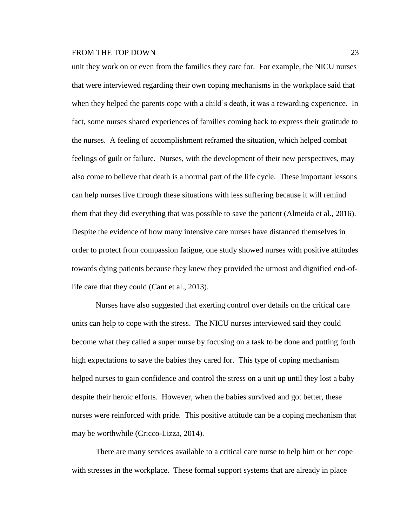unit they work on or even from the families they care for. For example, the NICU nurses that were interviewed regarding their own coping mechanisms in the workplace said that when they helped the parents cope with a child's death, it was a rewarding experience. In fact, some nurses shared experiences of families coming back to express their gratitude to the nurses. A feeling of accomplishment reframed the situation, which helped combat feelings of guilt or failure. Nurses, with the development of their new perspectives, may also come to believe that death is a normal part of the life cycle. These important lessons can help nurses live through these situations with less suffering because it will remind them that they did everything that was possible to save the patient (Almeida et al., 2016). Despite the evidence of how many intensive care nurses have distanced themselves in order to protect from compassion fatigue, one study showed nurses with positive attitudes towards dying patients because they knew they provided the utmost and dignified end-oflife care that they could (Cant et al., 2013).

Nurses have also suggested that exerting control over details on the critical care units can help to cope with the stress. The NICU nurses interviewed said they could become what they called a super nurse by focusing on a task to be done and putting forth high expectations to save the babies they cared for. This type of coping mechanism helped nurses to gain confidence and control the stress on a unit up until they lost a baby despite their heroic efforts. However, when the babies survived and got better, these nurses were reinforced with pride. This positive attitude can be a coping mechanism that may be worthwhile [\(Cricco-Lizza,](http://journals.sagepub.com.ezproxy.liberty.edu/author/Cricco-Lizza%2C+Roberta) 2014).

There are many services available to a critical care nurse to help him or her cope with stresses in the workplace. These formal support systems that are already in place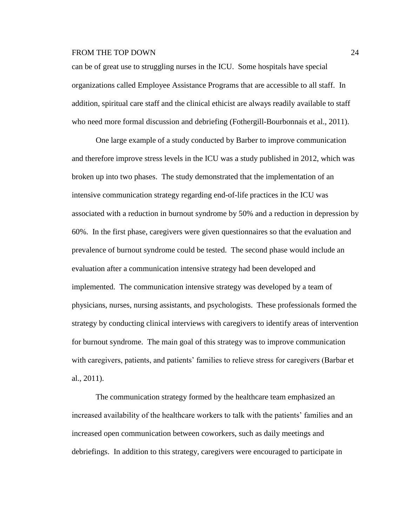can be of great use to struggling nurses in the ICU. Some hospitals have special organizations called Employee Assistance Programs that are accessible to all staff. In addition, spiritual care staff and the clinical ethicist are always readily available to staff who need more formal discussion and debriefing (Fothergill-Bourbonnais et al., 2011).

One large example of a study conducted by Barber to improve communication and therefore improve stress levels in the ICU was a study published in 2012, which was broken up into two phases. The study demonstrated that the implementation of an intensive communication strategy regarding end-of-life practices in the ICU was associated with a reduction in burnout syndrome by 50% and a reduction in depression by 60%. In the first phase, caregivers were given questionnaires so that the evaluation and prevalence of burnout syndrome could be tested. The second phase would include an evaluation after a communication intensive strategy had been developed and implemented. The communication intensive strategy was developed by a team of physicians, nurses, nursing assistants, and psychologists. These professionals formed the strategy by conducting clinical interviews with caregivers to identify areas of intervention for burnout syndrome. The main goal of this strategy was to improve communication with caregivers, patients, and patients' families to relieve stress for caregivers (Barbar et al., 2011).

The communication strategy formed by the healthcare team emphasized an increased availability of the healthcare workers to talk with the patients' families and an increased open communication between coworkers, such as daily meetings and debriefings. In addition to this strategy, caregivers were encouraged to participate in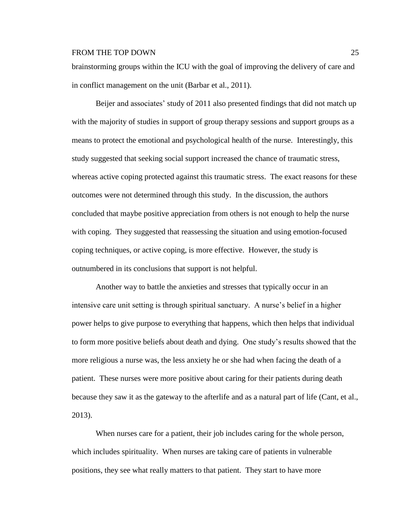brainstorming groups within the ICU with the goal of improving the delivery of care and in conflict management on the unit (Barbar et al., 2011).

Beijer and associates' study of 2011 also presented findings that did not match up with the majority of studies in support of group therapy sessions and support groups as a means to protect the emotional and psychological health of the nurse. Interestingly, this study suggested that seeking social support increased the chance of traumatic stress, whereas active coping protected against this traumatic stress. The exact reasons for these outcomes were not determined through this study. In the discussion, the authors concluded that maybe positive appreciation from others is not enough to help the nurse with coping. They suggested that reassessing the situation and using emotion-focused coping techniques, or active coping, is more effective. However, the study is outnumbered in its conclusions that support is not helpful.

Another way to battle the anxieties and stresses that typically occur in an intensive care unit setting is through spiritual sanctuary. A nurse's belief in a higher power helps to give purpose to everything that happens, which then helps that individual to form more positive beliefs about death and dying. One study's results showed that the more religious a nurse was, the less anxiety he or she had when facing the death of a patient. These nurses were more positive about caring for their patients during death because they saw it as the gateway to the afterlife and as a natural part of life (Cant, et al., 2013).

When nurses care for a patient, their job includes caring for the whole person, which includes spirituality. When nurses are taking care of patients in vulnerable positions, they see what really matters to that patient. They start to have more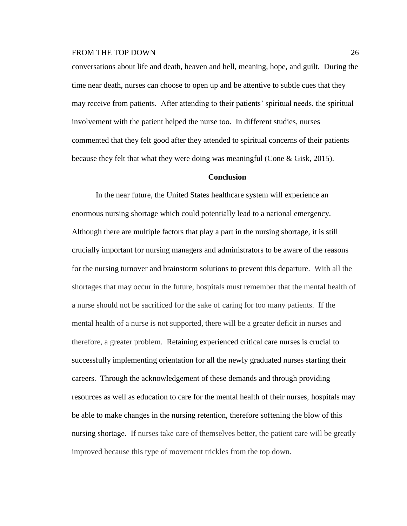conversations about life and death, heaven and hell, meaning, hope, and guilt. During the time near death, nurses can choose to open up and be attentive to subtle cues that they may receive from patients. After attending to their patients' spiritual needs, the spiritual involvement with the patient helped the nurse too. In different studies, nurses commented that they felt good after they attended to spiritual concerns of their patients because they felt that what they were doing was meaningful (Cone & Gisk, 2015).

## **Conclusion**

In the near future, the United States healthcare system will experience an enormous nursing shortage which could potentially lead to a national emergency. Although there are multiple factors that play a part in the nursing shortage, it is still crucially important for nursing managers and administrators to be aware of the reasons for the nursing turnover and brainstorm solutions to prevent this departure. With all the shortages that may occur in the future, hospitals must remember that the mental health of a nurse should not be sacrificed for the sake of caring for too many patients. If the mental health of a nurse is not supported, there will be a greater deficit in nurses and therefore, a greater problem. Retaining experienced critical care nurses is crucial to successfully implementing orientation for all the newly graduated nurses starting their careers. Through the acknowledgement of these demands and through providing resources as well as education to care for the mental health of their nurses, hospitals may be able to make changes in the nursing retention, therefore softening the blow of this nursing shortage. If nurses take care of themselves better, the patient care will be greatly improved because this type of movement trickles from the top down.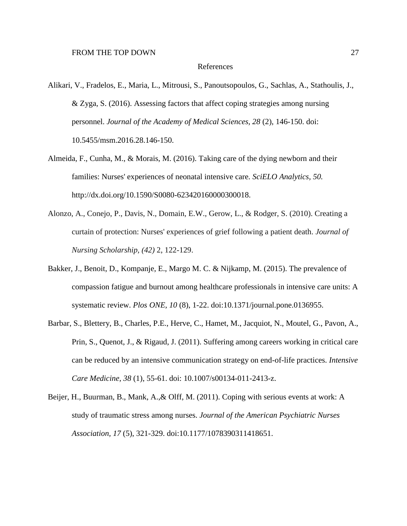#### References

- Alikari, V., Fradelos, E., Maria, L., Mitrousi, S., Panoutsopoulos, G., Sachlas, A., Stathoulis, J., & Zyga, S. (2016). Assessing factors that affect coping strategies among nursing personnel. *Journal of the Academy of Medical Sciences, 28* (2), 146-150. doi: [10.5455/msm.2016.28.146-150.](https://dx.doi.org/10.5455%2Fmsm.2016.28.146-150)
- Almeida, F., Cunha, M., & Morais, M. (2016). Taking care of the dying newborn and their families: Nurses' experiences of neonatal intensive care*. [SciELO Analytics,](http://analytics.scielo.org/?journal=0080-6234&collection=scl) 50.* http://dx.doi.org/10.1590/S0080-623420160000300018.
- Alonzo, A., Conejo, P., Davis, N., Domain, E.W., Gerow, L., & Rodger, S. (2010). Creating a curtain of protection: Nurses' experiences of grief following a patient death. *Journal of Nursing Scholarship, (42)* 2, 122-129.
- Bakker, J., Benoit, D., Kompanje, E., Margo M. C. & Nijkamp, M. (2015). The prevalence of compassion fatigue and burnout among healthcare professionals in intensive care units: A systematic review. *Plos ONE, 10* (8), 1-22. doi:10.1371/journal.pone.0136955.
- Barbar, S., Blettery, B., Charles, P.E., Herve, C., Hamet, M., Jacquiot, N., Moutel, G., Pavon, A., Prin, S., Quenot, J., & Rigaud, J. (2011). Suffering among careers working in critical care can be reduced by an intensive communication strategy on end-of-life practices. *Intensive Care Medicine, 38* (1), 55-61. doi: [10.1007/s00134-011-2413-z.](https://dx.doi.org/10.1007%2Fs00134-011-2413-z)
- Beijer, H., [Buurman,](http://journals.sagepub.com.ezproxy.liberty.edu/author/Buurman%2C+Bianca+M) B., [Mank,](http://journals.sagepub.com.ezproxy.liberty.edu/author/Mank%2C+Arno+P+M) A.,& [Olff,](http://journals.sagepub.com.ezproxy.liberty.edu/author/Olff%2C+Miranda) M. (2011). Coping with serious events at work: A study of traumatic stress among nurses. *Journal of the American Psychiatric Nurses Association, 17* (5), 321-329. doi:10.1177/1078390311418651.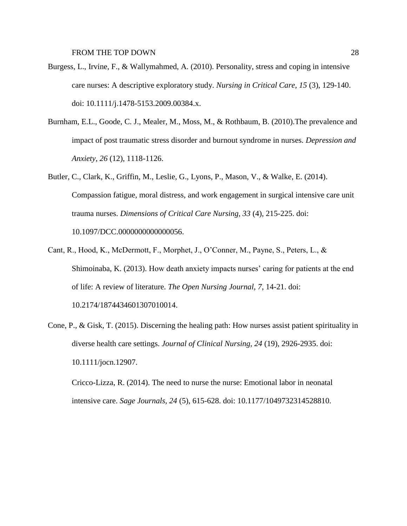- Burgess, L., Irvine, F., & Wallymahmed, A. (2010). Personality, stress and coping in intensive care nurses: A descriptive exploratory study. *Nursing in Critical Care, 15* (3), 129-140. doi: 10.1111/j.1478-5153.2009.00384.x.
- Burnham, E.L., Goode, C. J., Mealer, M., Moss, M., & Rothbaum, B. (2010).The prevalence and impact of post traumatic stress disorder and burnout syndrome in nurses. *Depression and Anxiety, 26* (12), 1118-1126.
- Butler, C., Clark, K., Griffin, M., Leslie, G., Lyons, P., Mason, V., & Walke, E. (2014). Compassion fatigue, moral distress, and work engagement in surgical intensive care unit trauma nurses. *Dimensions of Critical Care Nursing, 33* (4), 215-225. doi: 10.1097/DCC.0000000000000056.
- Cant, R., Hood, K., McDermott, F., Morphet, J., O'Conner, M., Payne, S., Peters, L., & Shimoinaba, K. (2013). How death anxiety impacts nurses' caring for patients at the end of life: A review of literature. *The Open Nursing Journal, 7*, 14-21. doi: [10.2174/1874434601307010014.](https://dx.doi.org/10.2174%2F1874434601307010014)
- Cone, P., & Gisk, T. (2015). Discerning the healing path: How nurses assist patient spirituality in diverse health care settings. *Journal of Clinical Nursing, 24* (19), 2926-2935. doi: 10.1111/jocn.12907.

[Cricco-Lizza,](http://journals.sagepub.com.ezproxy.liberty.edu/author/Cricco-Lizza%2C+Roberta) R. (2014). The need to nurse the nurse: Emotional labor in neonatal intensive care. *Sage Journals, 24* (5), 615-628. doi: 10.1177/1049732314528810.